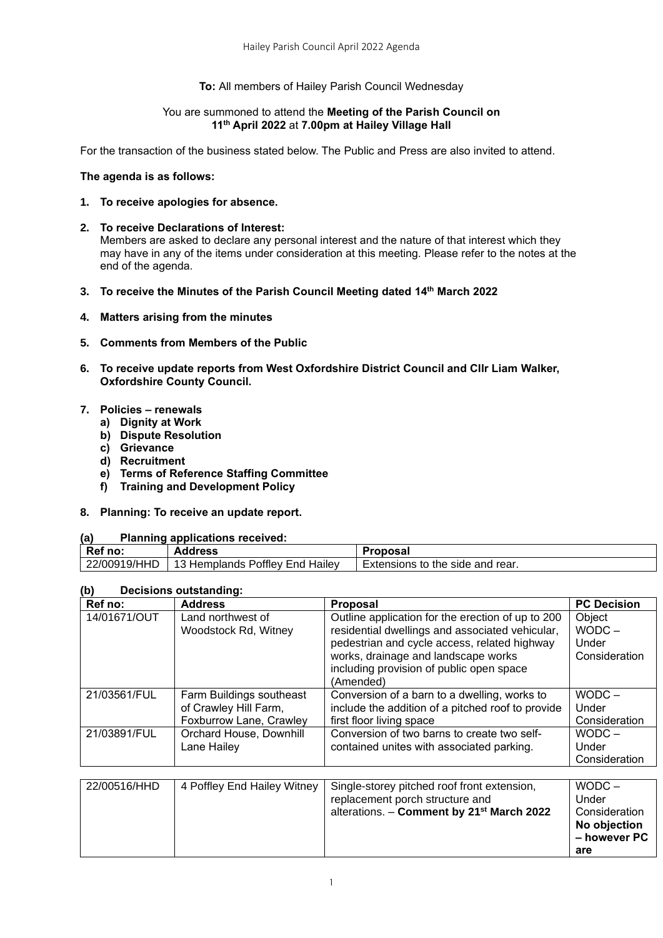#### **To:** All members of Hailey Parish Council Wednesday

#### You are summoned to attend the **Meeting of the Parish Council on 11 th April 2022** at **7.00pm at Hailey Village Hall**

For the transaction of the business stated below. The Public and Press are also invited to attend.

#### **The agenda is as follows:**

- **1. To receive apologies for absence.**
- **2. To receive Declarations of Interest:**  Members are asked to declare any personal interest and the nature of that interest which they may have in any of the items under consideration at this meeting. Please refer to the notes at the end of the agenda.
- **3. To receive the Minutes of the Parish Council Meeting dated 14 th March 2022**
- **4. Matters arising from the minutes**
- **5. Comments from Members of the Public**
- **6. To receive update reports from West Oxfordshire District Council and Cllr Liam Walker, Oxfordshire County Council.**
- **7. Policies – renewals**
	- **a) Dignity at Work**
	- **b) Dispute Resolution**
	- **c) Grievance**
	- **d) Recruitment**
	- **e) Terms of Reference Staffing Committee**
	- **f) Training and Development Policy**
- **8. Planning: To receive an update report.**

#### **(a) Planning applications received:**

| $\cdot$ .    |                                           |                                       |  |
|--------------|-------------------------------------------|---------------------------------------|--|
| Ref<br>no:   | <b>Address</b>                            | Proposal                              |  |
| 22/00919/HHD | : Poffley End<br>' Hailey<br>13 Hemplands | Extensions to the side and<br>' rear. |  |
|              |                                           |                                       |  |

### **(b) Decisions outstanding:**

| יש<br>Decisions outstanding. |                                                                              |                                                                                                                                                                                                                                                      |                                              |
|------------------------------|------------------------------------------------------------------------------|------------------------------------------------------------------------------------------------------------------------------------------------------------------------------------------------------------------------------------------------------|----------------------------------------------|
| Ref no:                      | <b>Address</b>                                                               | <b>Proposal</b>                                                                                                                                                                                                                                      | <b>PC Decision</b>                           |
| 14/01671/OUT                 | Land northwest of<br>Woodstock Rd, Witney                                    | Outline application for the erection of up to 200<br>residential dwellings and associated vehicular,<br>pedestrian and cycle access, related highway<br>works, drainage and landscape works<br>including provision of public open space<br>(Amended) | Object<br>$WODC -$<br>Under<br>Consideration |
| 21/03561/FUL                 | Farm Buildings southeast<br>of Crawley Hill Farm,<br>Foxburrow Lane, Crawley | Conversion of a barn to a dwelling, works to<br>include the addition of a pitched roof to provide<br>first floor living space                                                                                                                        | $WODC -$<br>Under<br>Consideration           |
| 21/03891/FUL                 | Orchard House, Downhill<br>Lane Hailey                                       | Conversion of two barns to create two self-<br>contained unites with associated parking.                                                                                                                                                             | $WODC -$<br>Under<br>Consideration           |

| 22/00516/HHD | 4 Poffley End Hailey Witney | Single-storey pitched roof front extension,           | $WODC -$      |
|--------------|-----------------------------|-------------------------------------------------------|---------------|
|              |                             | replacement porch structure and                       | Under         |
|              |                             | alterations. - Comment by 21 <sup>st</sup> March 2022 | Consideration |
|              |                             |                                                       | No objection  |
|              |                             |                                                       | – however PC  |
|              |                             |                                                       | are           |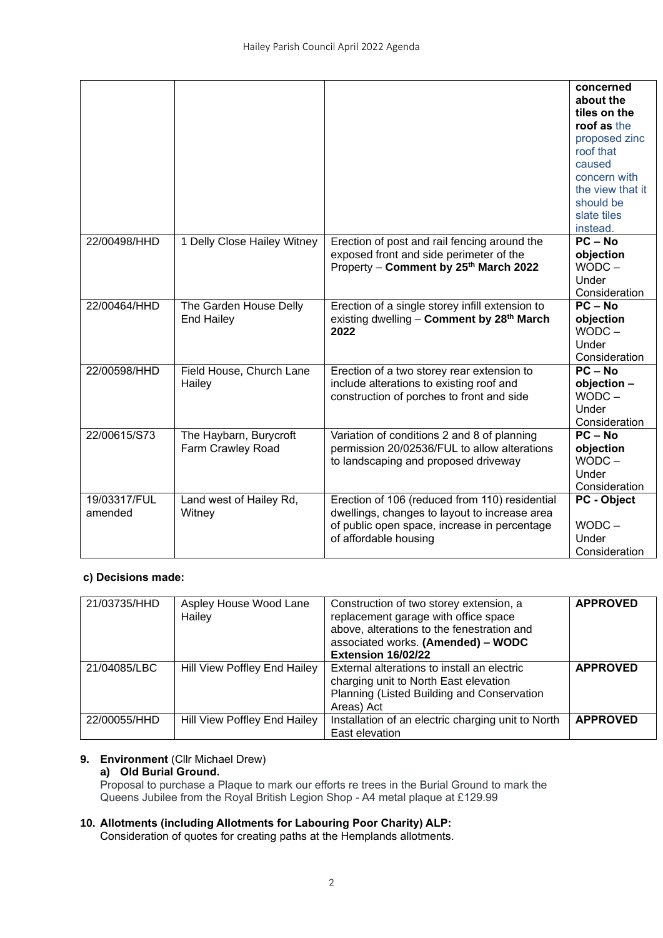|              |                             |                                                       | concerned<br>about the      |
|--------------|-----------------------------|-------------------------------------------------------|-----------------------------|
|              |                             |                                                       | tiles on the<br>roof as the |
|              |                             |                                                       | proposed zinc               |
|              |                             |                                                       | roof that                   |
|              |                             |                                                       | caused                      |
|              |                             |                                                       | concern with                |
|              |                             |                                                       | the view that it            |
|              |                             |                                                       | should be                   |
|              |                             |                                                       | slate tiles                 |
|              |                             |                                                       | instead.                    |
| 22/00498/HHD | 1 Delly Close Hailey Witney | Erection of post and rail fencing around the          | $PC - No$                   |
|              |                             | exposed front and side perimeter of the               | objection                   |
|              |                             | Property - Comment by 25th March 2022                 | $WODC -$                    |
|              |                             |                                                       | Under                       |
|              |                             |                                                       | Consideration               |
| 22/00464/HHD | The Garden House Delly      | Erection of a single storey infill extension to       | $PC - No$                   |
|              | <b>End Hailey</b>           | existing dwelling - Comment by 28 <sup>th</sup> March | objection                   |
|              |                             | 2022                                                  | $WODC -$<br>Under           |
|              |                             |                                                       | Consideration               |
| 22/00598/HHD | Field House, Church Lane    | Erection of a two storey rear extension to            | $PC - No$                   |
|              | Hailey                      | include alterations to existing roof and              | objection -                 |
|              |                             | construction of porches to front and side             | $WODC -$                    |
|              |                             |                                                       | Under                       |
|              |                             |                                                       | Consideration               |
| 22/00615/S73 | The Haybarn, Burycroft      | Variation of conditions 2 and 8 of planning           | $PC - No$                   |
|              | Farm Crawley Road           | permission 20/02536/FUL to allow alterations          | objection                   |
|              |                             | to landscaping and proposed driveway                  | $WODC -$                    |
|              |                             |                                                       | Under                       |
|              |                             |                                                       | Consideration               |
| 19/03317/FUL | Land west of Hailey Rd,     | Erection of 106 (reduced from 110) residential        | <b>PC</b> - Object          |
| amended      | Witney                      | dwellings, changes to layout to increase area         |                             |
|              |                             | of public open space, increase in percentage          | $WODC -$                    |
|              |                             | of affordable housing                                 | Under                       |
|              |                             |                                                       | Consideration               |

#### **c) Decisions made:**

| 21/03735/HHD | Aspley House Wood Lane<br>Hailey | Construction of two storey extension, a<br>replacement garage with office space<br>above, alterations to the fenestration and<br>associated works. (Amended) - WODC<br>Extension 16/02/22 | <b>APPROVED</b> |
|--------------|----------------------------------|-------------------------------------------------------------------------------------------------------------------------------------------------------------------------------------------|-----------------|
| 21/04085/LBC | Hill View Poffley End Hailey     | External alterations to install an electric<br>charging unit to North East elevation<br>Planning (Listed Building and Conservation<br>Areas) Act                                          | <b>APPROVED</b> |
| 22/00055/HHD | Hill View Poffley End Hailey     | Installation of an electric charging unit to North<br>East elevation                                                                                                                      | <b>APPROVED</b> |

# **9. Environment** (Cllr Michael Drew)

**a) Old Burial Ground.** 

Proposal to purchase a Plaque to mark our efforts re trees in the Burial Ground to mark the Queens Jubilee from the Royal British Legion Shop - A4 metal plaque at £129.99

## **10. Allotments (including Allotments for Labouring Poor Charity) ALP:**

Consideration of quotes for creating paths at the Hemplands allotments.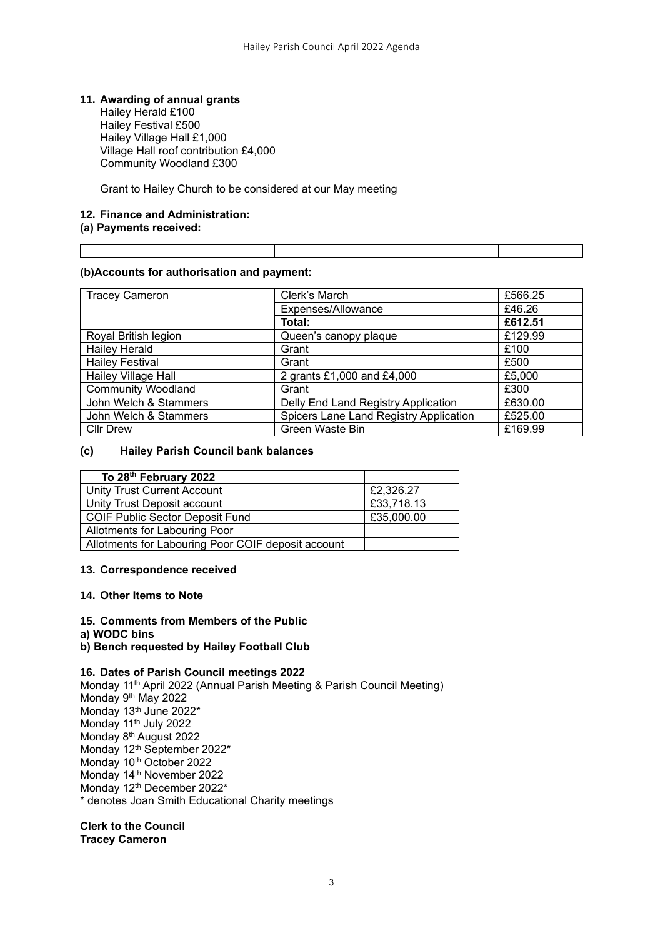#### **11. Awarding of annual grants**

Hailey Herald £100 Hailey Festival £500 Hailey Village Hall £1,000 Village Hall roof contribution £4,000 Community Woodland £300

Grant to Hailey Church to be considered at our May meeting

## **12. Finance and Administration:**

#### **(a) Payments received:**

#### **(b)Accounts for authorisation and payment:**

| <b>Tracey Cameron</b>     | Clerk's March                          | £566.25 |
|---------------------------|----------------------------------------|---------|
|                           | Expenses/Allowance                     | £46.26  |
|                           | Total:                                 | £612.51 |
| Royal British legion      | Queen's canopy plaque                  | £129.99 |
| <b>Hailey Herald</b>      | Grant                                  | £100    |
| <b>Hailey Festival</b>    | Grant                                  | £500    |
| Hailey Village Hall       | 2 grants £1,000 and £4,000             | £5,000  |
| <b>Community Woodland</b> | Grant                                  | £300    |
| John Welch & Stammers     | Delly End Land Registry Application    | £630.00 |
| John Welch & Stammers     | Spicers Lane Land Registry Application | £525.00 |
| <b>Cllr Drew</b>          | Green Waste Bin                        | £169.99 |

#### **(c) Hailey Parish Council bank balances**

| To 28 <sup>th</sup> February 2022                  |            |
|----------------------------------------------------|------------|
| Unity Trust Current Account                        | £2,326.27  |
| Unity Trust Deposit account                        | £33,718.13 |
| <b>COIF Public Sector Deposit Fund</b>             | £35,000.00 |
| Allotments for Labouring Poor                      |            |
| Allotments for Labouring Poor COIF deposit account |            |

#### **13. Correspondence received**

#### **14. Other Items to Note**

#### **15. Comments from Members of the Public**

#### **a) WODC bins**

**b) Bench requested by Hailey Football Club**

#### **16. Dates of Parish Council meetings 2022**

Monday 11th April 2022 (Annual Parish Meeting & Parish Council Meeting) Monday 9th May 2022 Monday 13<sup>th</sup> June 2022\* Monday 11<sup>th</sup> July 2022 Monday 8th August 2022 Monday 12<sup>th</sup> September 2022<sup>\*</sup> Monday 10<sup>th</sup> October 2022 Monday 14th November 2022 Monday 12<sup>th</sup> December 2022\* \* denotes Joan Smith Educational Charity meetings

#### **Clerk to the Council Tracey Cameron**